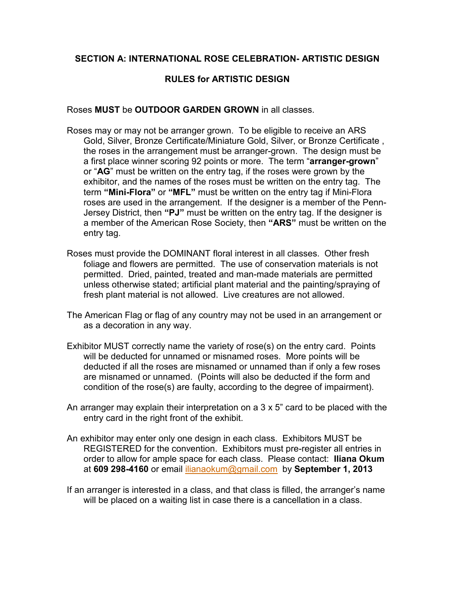#### **SECTION A: INTERNATIONAL ROSE CELEBRATION- ARTISTIC DESIGN**

## **RULES for ARTISTIC DESIGN**

Roses **MUST** be **OUTDOOR GARDEN GROWN** in all classes.

- Roses may or may not be arranger grown. To be eligible to receive an ARS Gold, Silver, Bronze Certificate/Miniature Gold, Silver, or Bronze Certificate , the roses in the arrangement must be arranger-grown. The design must be a first place winner scoring 92 points or more. The term "**arranger-grown**" or "**AG**" must be written on the entry tag, if the roses were grown by the exhibitor, and the names of the roses must be written on the entry tag. The term **"Mini-Flora"** or **"MFL"** must be written on the entry tag if Mini-Flora roses are used in the arrangement. If the designer is a member of the Penn-Jersey District, then **"PJ"** must be written on the entry tag. If the designer is a member of the American Rose Society, then **"ARS"** must be written on the entry tag.
- Roses must provide the DOMINANT floral interest in all classes. Other fresh foliage and flowers are permitted. The use of conservation materials is not permitted. Dried, painted, treated and man-made materials are permitted unless otherwise stated; artificial plant material and the painting/spraying of fresh plant material is not allowed. Live creatures are not allowed.
- The American Flag or flag of any country may not be used in an arrangement or as a decoration in any way.
- Exhibitor MUST correctly name the variety of rose(s) on the entry card. Points will be deducted for unnamed or misnamed roses. More points will be deducted if all the roses are misnamed or unnamed than if only a few roses are misnamed or unnamed. (Points will also be deducted if the form and condition of the rose(s) are faulty, according to the degree of impairment).
- An arranger may explain their interpretation on a 3 x 5" card to be placed with the entry card in the right front of the exhibit.
- An exhibitor may enter only one design in each class. Exhibitors MUST be REGISTERED for the convention. Exhibitors must pre-register all entries in order to allow for ample space for each class. Please contact: **Iliana Okum** at **609 298-4160** or email ilianaokum@gmail.com by **September 1, 2013**
- If an arranger is interested in a class, and that class is filled, the arranger's name will be placed on a waiting list in case there is a cancellation in a class.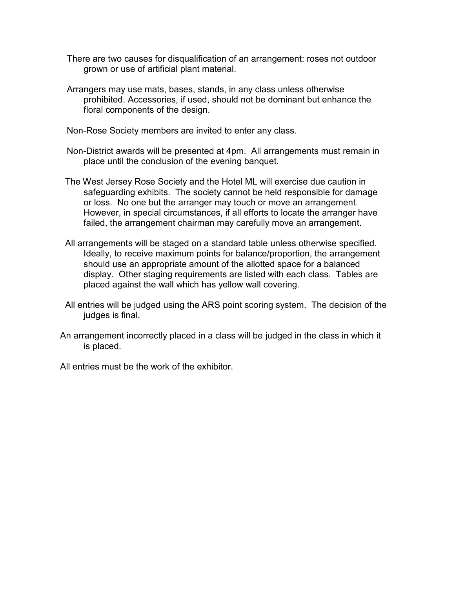- There are two causes for disqualification of an arrangement: roses not outdoor grown or use of artificial plant material.
- Arrangers may use mats, bases, stands, in any class unless otherwise prohibited. Accessories, if used, should not be dominant but enhance the floral components of the design.

Non-Rose Society members are invited to enter any class.

- Non-District awards will be presented at 4pm. All arrangements must remain in place until the conclusion of the evening banquet.
- The West Jersey Rose Society and the Hotel ML will exercise due caution in safeguarding exhibits. The society cannot be held responsible for damage or loss. No one but the arranger may touch or move an arrangement. However, in special circumstances, if all efforts to locate the arranger have failed, the arrangement chairman may carefully move an arrangement.
- All arrangements will be staged on a standard table unless otherwise specified. Ideally, to receive maximum points for balance/proportion, the arrangement should use an appropriate amount of the allotted space for a balanced display. Other staging requirements are listed with each class. Tables are placed against the wall which has yellow wall covering.
- All entries will be judged using the ARS point scoring system. The decision of the judges is final.
- An arrangement incorrectly placed in a class will be judged in the class in which it is placed.

All entries must be the work of the exhibitor.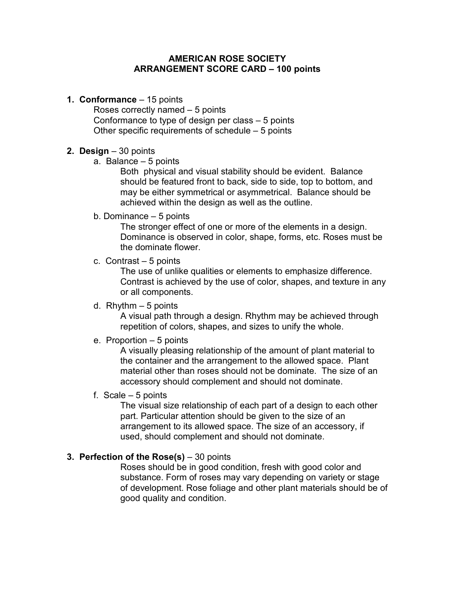#### **AMERICAN ROSE SOCIETY ARRANGEMENT SCORE CARD – 100 points**

**1. Conformance** – 15 points

Roses correctly named – 5 points Conformance to type of design per class – 5 points Other specific requirements of schedule – 5 points

#### **2. Design** – 30 points

a. Balance – 5 points

 Both physical and visual stability should be evident. Balance should be featured front to back, side to side, top to bottom, and may be either symmetrical or asymmetrical. Balance should be achieved within the design as well as the outline.

b. Dominance – 5 points

 The stronger effect of one or more of the elements in a design. Dominance is observed in color, shape, forms, etc. Roses must be the dominate flower.

c. Contrast – 5 points

 The use of unlike qualities or elements to emphasize difference. Contrast is achieved by the use of color, shapes, and texture in any or all components.

d. Rhythm  $-5$  points

 A visual path through a design. Rhythm may be achieved through repetition of colors, shapes, and sizes to unify the whole.

e. Proportion – 5 points

 A visually pleasing relationship of the amount of plant material to the container and the arrangement to the allowed space. Plant material other than roses should not be dominate. The size of an accessory should complement and should not dominate.

f. Scale – 5 points

 The visual size relationship of each part of a design to each other part. Particular attention should be given to the size of an arrangement to its allowed space. The size of an accessory, if used, should complement and should not dominate.

#### **3. Perfection of the Rose(s)** – 30 points

 Roses should be in good condition, fresh with good color and substance. Form of roses may vary depending on variety or stage of development. Rose foliage and other plant materials should be of good quality and condition.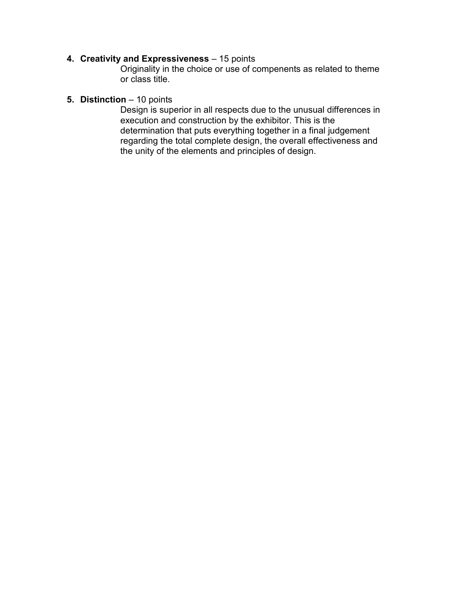## **4. Creativity and Expressiveness** – 15 points

 Originality in the choice or use of compenents as related to theme or class title.

## **5. Distinction** – 10 points

 Design is superior in all respects due to the unusual differences in execution and construction by the exhibitor. This is the determination that puts everything together in a final judgement regarding the total complete design, the overall effectiveness and the unity of the elements and principles of design.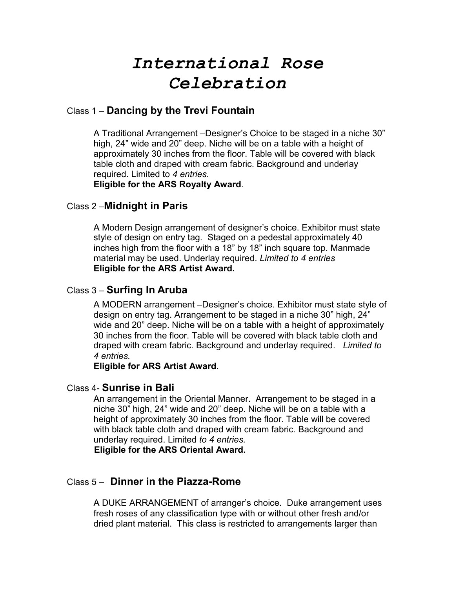# *International Rose Celebration*

# Class 1 – **Dancing by the Trevi Fountain**

A Traditional Arrangement –Designer's Choice to be staged in a niche 30" high, 24" wide and 20" deep. Niche will be on a table with a height of approximately 30 inches from the floor. Table will be covered with black table cloth and draped with cream fabric. Background and underlay required. Limited to *4 entries.*

**Eligible for the ARS Royalty Award**.

## Class 2 –**Midnight in Paris**

A Modern Design arrangement of designer's choice. Exhibitor must state style of design on entry tag. Staged on a pedestal approximately 40 inches high from the floor with a 18" by 18" inch square top. Manmade material may be used. Underlay required. *Limited to 4 entries* **Eligible for the ARS Artist Award.**

## Class 3 – **Surfing In Aruba**

A MODERN arrangement –Designer's choice. Exhibitor must state style of design on entry tag. Arrangement to be staged in a niche 30" high, 24" wide and 20" deep. Niche will be on a table with a height of approximately 30 inches from the floor. Table will be covered with black table cloth and draped with cream fabric. Background and underlay required. *Limited to 4 entries.*

#### **Eligible for ARS Artist Award**.

## Class 4- **Sunrise in Bali**

An arrangement in the Oriental Manner. Arrangement to be staged in a niche 30" high, 24" wide and 20" deep. Niche will be on a table with a height of approximately 30 inches from the floor. Table will be covered with black table cloth and draped with cream fabric. Background and underlay required. Limited *to 4 entries.* 

**Eligible for the ARS Oriental Award.** 

## Class 5 – **Dinner in the Piazza-Rome**

 A DUKE ARRANGEMENT of arranger's choice. Duke arrangement uses fresh roses of any classification type with or without other fresh and/or dried plant material. This class is restricted to arrangements larger than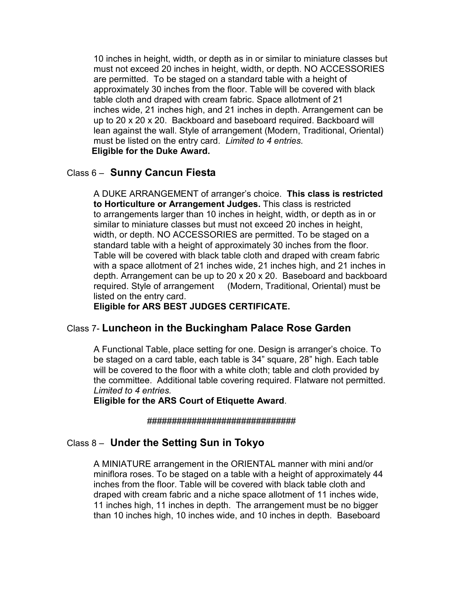10 inches in height, width, or depth as in or similar to miniature classes but must not exceed 20 inches in height, width, or depth. NO ACCESSORIES are permitted. To be staged on a standard table with a height of approximately 30 inches from the floor. Table will be covered with black table cloth and draped with cream fabric. Space allotment of 21 inches wide, 21 inches high, and 21 inches in depth. Arrangement can be up to 20 x 20 x 20. Backboard and baseboard required. Backboard will lean against the wall. Style of arrangement (Modern, Traditional, Oriental) must be listed on the entry card. *Limited to 4 entries.* **Eligible for the Duke Award.**

## Class 6 – **Sunny Cancun Fiesta**

 A DUKE ARRANGEMENT of arranger's choice. **This class is restricted to Horticulture or Arrangement Judges.** This class is restricted to arrangements larger than 10 inches in height, width, or depth as in or similar to miniature classes but must not exceed 20 inches in height, width, or depth. NO ACCESSORIES are permitted. To be staged on a standard table with a height of approximately 30 inches from the floor. Table will be covered with black table cloth and draped with cream fabric with a space allotment of 21 inches wide, 21 inches high, and 21 inches in depth. Arrangement can be up to 20 x 20 x 20. Baseboard and backboard required. Style of arrangement (Modern, Traditional, Oriental) must be listed on the entry card.

**Eligible for ARS BEST JUDGES CERTIFICATE.** 

# Class 7- **Luncheon in the Buckingham Palace Rose Garden**

A Functional Table, place setting for one. Design is arranger's choice. To be staged on a card table, each table is 34" square, 28" high. Each table will be covered to the floor with a white cloth; table and cloth provided by the committee. Additional table covering required. Flatware not permitted. *Limited to 4 entries.*

**Eligible for the ARS Court of Etiquette Award**.

##############################

# Class 8 – **Under the Setting Sun in Tokyo**

A MINIATURE arrangement in the ORIENTAL manner with mini and/or miniflora roses. To be staged on a table with a height of approximately 44 inches from the floor. Table will be covered with black table cloth and draped with cream fabric and a niche space allotment of 11 inches wide, 11 inches high, 11 inches in depth. The arrangement must be no bigger than 10 inches high, 10 inches wide, and 10 inches in depth. Baseboard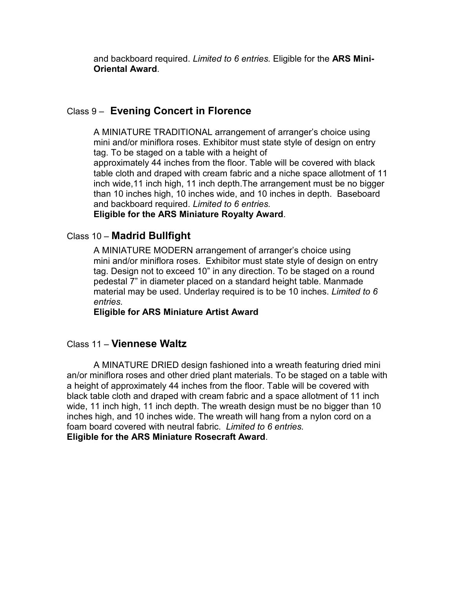and backboard required. *Limited to 6 entries.* Eligible for the **ARS Mini-Oriental Award**.

# Class 9 – **Evening Concert in Florence**

 A MINIATURE TRADITIONAL arrangement of arranger's choice using mini and/or miniflora roses. Exhibitor must state style of design on entry tag. To be staged on a table with a height of approximately 44 inches from the floor. Table will be covered with black table cloth and draped with cream fabric and a niche space allotment of 11 inch wide,11 inch high, 11 inch depth.The arrangement must be no bigger than 10 inches high, 10 inches wide, and 10 inches in depth. Baseboard and backboard required. *Limited to 6 entries.*

**Eligible for the ARS Miniature Royalty Award**.

# Class 10 – **Madrid Bullfight**

A MINIATURE MODERN arrangement of arranger's choice using mini and/or miniflora roses. Exhibitor must state style of design on entry tag. Design not to exceed 10" in any direction. To be staged on a round pedestal 7" in diameter placed on a standard height table. Manmade material may be used. Underlay required is to be 10 inches. *Limited to 6 entries.* 

**Eligible for ARS Miniature Artist Award**

## Class 11 – **Viennese Waltz**

 A MINATURE DRIED design fashioned into a wreath featuring dried mini an/or miniflora roses and other dried plant materials. To be staged on a table with a height of approximately 44 inches from the floor. Table will be covered with black table cloth and draped with cream fabric and a space allotment of 11 inch wide, 11 inch high, 11 inch depth. The wreath design must be no bigger than 10 inches high, and 10 inches wide. The wreath will hang from a nylon cord on a foam board covered with neutral fabric. *Limited to 6 entries.* **Eligible for the ARS Miniature Rosecraft Award**.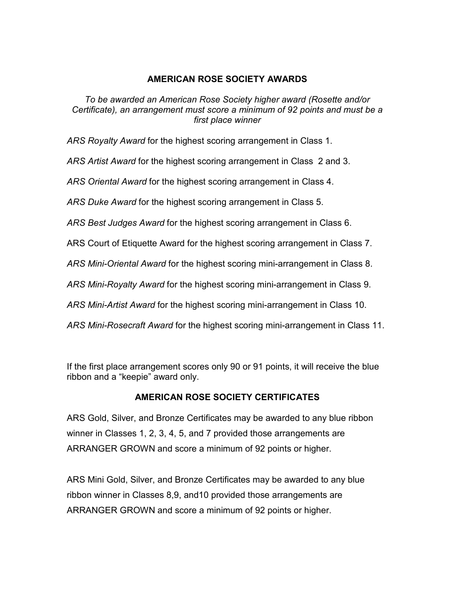## **AMERICAN ROSE SOCIETY AWARDS**

*To be awarded an American Rose Society higher award (Rosette and/or Certificate), an arrangement must score a minimum of 92 points and must be a first place winner* 

*ARS Royalty Award* for the highest scoring arrangement in Class 1.

*ARS Artist Award* for the highest scoring arrangement in Class 2 and 3.

*ARS Oriental Award* for the highest scoring arrangement in Class 4.

*ARS Duke Award* for the highest scoring arrangement in Class 5.

*ARS Best Judges Award* for the highest scoring arrangement in Class 6.

ARS Court of Etiquette Award for the highest scoring arrangement in Class 7.

*ARS Mini-Oriental Award* for the highest scoring mini-arrangement in Class 8.

*ARS Mini-Royalty Award* for the highest scoring mini-arrangement in Class 9.

*ARS Mini-Artist Award* for the highest scoring mini-arrangement in Class 10.

*ARS Mini-Rosecraft Award* for the highest scoring mini-arrangement in Class 11.

If the first place arrangement scores only 90 or 91 points, it will receive the blue ribbon and a "keepie" award only.

#### **AMERICAN ROSE SOCIETY CERTIFICATES**

ARS Gold, Silver, and Bronze Certificates may be awarded to any blue ribbon winner in Classes 1, 2, 3, 4, 5, and 7 provided those arrangements are ARRANGER GROWN and score a minimum of 92 points or higher.

ARS Mini Gold, Silver, and Bronze Certificates may be awarded to any blue ribbon winner in Classes 8,9, and10 provided those arrangements are ARRANGER GROWN and score a minimum of 92 points or higher.